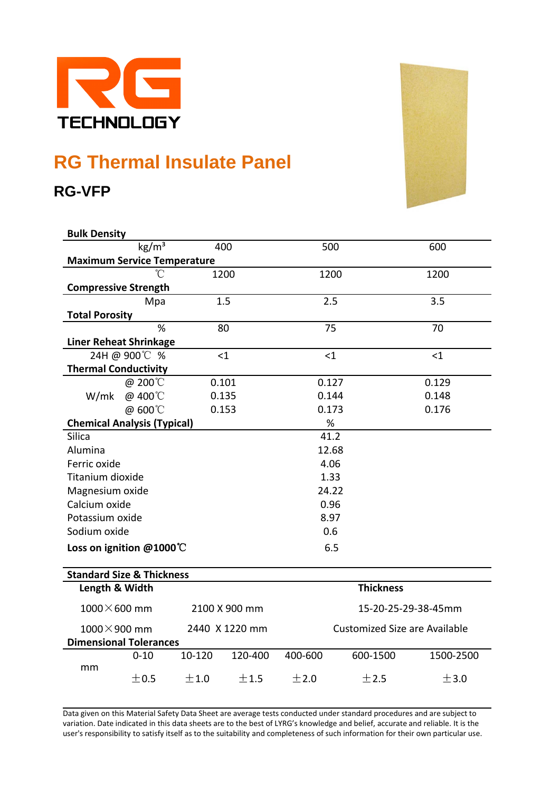

## **RG Thermal Insulate Panel**

**RG-VFP**



| <b>Bulk Density</b>                      |                 |        |                                      |                  |          |           |
|------------------------------------------|-----------------|--------|--------------------------------------|------------------|----------|-----------|
|                                          | $\text{kg/m}^3$ |        | 400                                  | 500              |          | 600       |
| <b>Maximum Service Temperature</b>       |                 |        |                                      |                  |          |           |
|                                          |                 |        | 1200                                 | 1200             |          | 1200      |
| <b>Compressive Strength</b>              |                 |        |                                      |                  |          |           |
|                                          | Mpa             |        | 1.5                                  | 2.5              |          | 3.5       |
| <b>Total Porosity</b>                    |                 |        |                                      |                  |          |           |
| %<br>80                                  |                 |        | 75                                   |                  | 70       |           |
| <b>Liner Reheat Shrinkage</b>            |                 |        |                                      |                  |          |           |
| 24H @ 900℃ %<br>$<$ 1                    |                 |        |                                      | $\leq 1$         |          | $<$ 1     |
| <b>Thermal Conductivity</b>              |                 |        |                                      |                  |          |           |
| W/mk                                     | @ 200°C         | 0.101  |                                      | 0.127            |          | 0.129     |
|                                          | @ 400°C         |        | 0.135                                | 0.144            |          | 0.148     |
|                                          | @ 600°C         |        | 0.153                                | 0.173            |          | 0.176     |
| <b>Chemical Analysis (Typical)</b>       |                 |        |                                      | $\%$             |          |           |
| <b>Silica</b>                            |                 |        | 41.2                                 |                  |          |           |
| Alumina                                  |                 |        | 12.68                                |                  |          |           |
| Ferric oxide                             |                 |        |                                      | 4.06             |          |           |
| Titanium dioxide                         |                 |        |                                      | 1.33             |          |           |
| Magnesium oxide                          |                 |        |                                      | 24.22            |          |           |
| Calcium oxide                            |                 |        |                                      | 0.96             |          |           |
| Potassium oxide                          |                 |        |                                      | 8.97             |          |           |
| Sodium oxide                             |                 |        |                                      | 0.6              |          |           |
| Loss on ignition $@1000^{\circ}\text{C}$ |                 |        |                                      | 6.5              |          |           |
|                                          |                 |        |                                      |                  |          |           |
| <b>Standard Size &amp; Thickness</b>     |                 |        |                                      |                  |          |           |
| Length & Width                           |                 |        |                                      | <b>Thickness</b> |          |           |
| $1000\times 600$ mm<br>2100 X 900 mm     |                 |        | 15-20-25-29-38-45mm                  |                  |          |           |
| $1000 \times 900$ mm<br>2440 X 1220 mm   |                 |        | <b>Customized Size are Available</b> |                  |          |           |
| <b>Dimensional Tolerances</b>            |                 |        |                                      |                  |          |           |
| mm                                       | $0 - 10$        | 10-120 | 120-400                              | 400-600          | 600-1500 | 1500-2500 |
|                                          | ±0.5            | ±1.0   | ±1.5                                 | ±2.0             | ±2.5     | ±3.0      |

Data given on this Material Safety Data Sheet are average tests conducted under standard procedures and are subject to variation. Date indicated in this data sheets are to the best of LYRG's knowledge and belief, accurate and reliable. It is the user's responsibility to satisfy itself as to the suitability and completeness of such information for their own particular use.